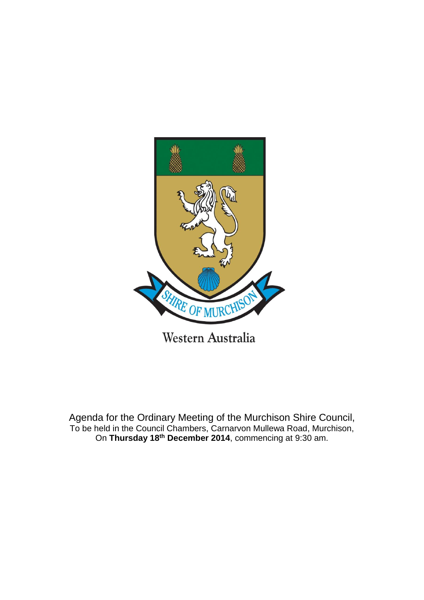

Agenda for the Ordinary Meeting of the Murchison Shire Council, To be held in the Council Chambers, Carnarvon Mullewa Road, Murchison,

On **Thursday 18th December 2014**, commencing at 9:30 am.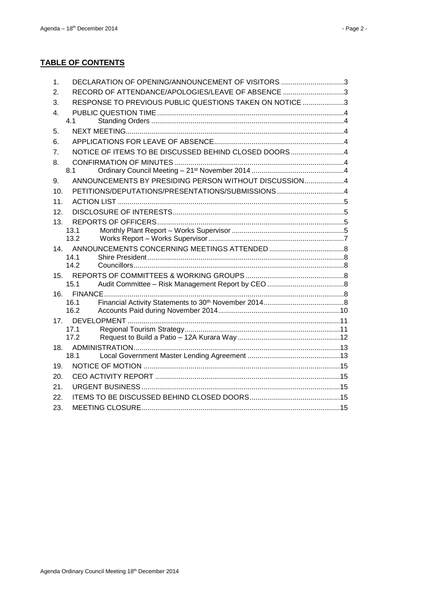| 1.              | DECLARATION OF OPENING/ANNOUNCEMENT OF VISITORS 3       |  |
|-----------------|---------------------------------------------------------|--|
| 2.              | RECORD OF ATTENDANCE/APOLOGIES/LEAVE OF ABSENCE 3       |  |
| 3.              | RESPONSE TO PREVIOUS PUBLIC QUESTIONS TAKEN ON NOTICE 3 |  |
| 4.              |                                                         |  |
|                 | 4.1                                                     |  |
| 5.              |                                                         |  |
| 6.              |                                                         |  |
| 7 <sub>1</sub>  | NOTICE OF ITEMS TO BE DISCUSSED BEHIND CLOSED DOORS4    |  |
| 8.              |                                                         |  |
|                 | 8.1                                                     |  |
| 9.              | ANNOUNCEMENTS BY PRESIDING PERSON WITHOUT DISCUSSION4   |  |
| 10 <sub>1</sub> | PETITIONS/DEPUTATIONS/PRESENTATIONS/SUBMISSIONS 4       |  |
| 11.             |                                                         |  |
| 12.             |                                                         |  |
| 13.             |                                                         |  |
|                 | 13.1<br>13.2                                            |  |
| 14 <sub>1</sub> |                                                         |  |
|                 | 14.1                                                    |  |
|                 | 14.2                                                    |  |
| 15.             |                                                         |  |
|                 | 15.1                                                    |  |
| 16.             |                                                         |  |
|                 | 16.1                                                    |  |
|                 | 16.2                                                    |  |
| 17.             | 17.1                                                    |  |
|                 | 17.2                                                    |  |
| 18.             |                                                         |  |
|                 | 18.1                                                    |  |
| 19.             |                                                         |  |
| 20.             |                                                         |  |
| 21.             |                                                         |  |
| 22.             |                                                         |  |
| 23.             |                                                         |  |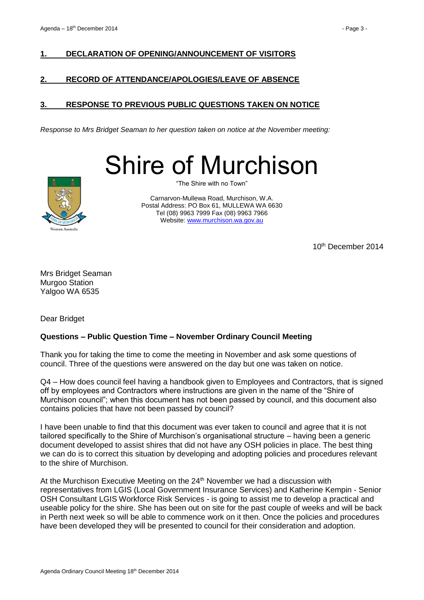# <span id="page-2-0"></span>**1. DECLARATION OF OPENING/ANNOUNCEMENT OF VISITORS**

## <span id="page-2-1"></span>**2. RECORD OF ATTENDANCE/APOLOGIES/LEAVE OF ABSENCE**

# <span id="page-2-2"></span>**3. RESPONSE TO PREVIOUS PUBLIC QUESTIONS TAKEN ON NOTICE**

*Response to Mrs Bridget Seaman to her question taken on notice at the November meeting:*

Shire of Murchison



"The Shire with no Town"

Carnarvon-Mullewa Road, Murchison, W.A. Postal Address: PO Box 61, MULLEWA WA 6630 Tel (08) 9963 7999 Fax (08) 9963 7966 Website: [www.murchison.wa.gov.au](http://www.murchison.wa.gov.au/)

10th December 2014

Mrs Bridget Seaman Murgoo Station Yalgoo WA 6535

Dear Bridget

## **Questions – Public Question Time – November Ordinary Council Meeting**

Thank you for taking the time to come the meeting in November and ask some questions of council. Three of the questions were answered on the day but one was taken on notice.

Q4 – How does council feel having a handbook given to Employees and Contractors, that is signed off by employees and Contractors where instructions are given in the name of the "Shire of Murchison council"; when this document has not been passed by council, and this document also contains policies that have not been passed by council?

I have been unable to find that this document was ever taken to council and agree that it is not tailored specifically to the Shire of Murchison's organisational structure – having been a generic document developed to assist shires that did not have any OSH policies in place. The best thing we can do is to correct this situation by developing and adopting policies and procedures relevant to the shire of Murchison.

At the Murchison Executive Meeting on the 24<sup>th</sup> November we had a discussion with representatives from LGIS (Local Government Insurance Services) and Katherine Kempin - Senior OSH Consultant LGIS Workforce Risk Services - is going to assist me to develop a practical and useable policy for the shire. She has been out on site for the past couple of weeks and will be back in Perth next week so will be able to commence work on it then. Once the policies and procedures have been developed they will be presented to council for their consideration and adoption.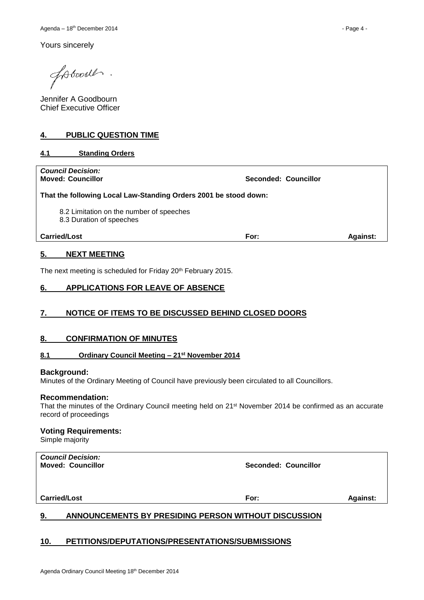Yours sincerely

fotooil.

Jennifer A Goodbourn Chief Executive Officer

## <span id="page-3-0"></span>**4. PUBLIC QUESTION TIME**

## <span id="page-3-1"></span>**4.1 Standing Orders**

| <b>Council Decision:</b><br><b>Moved: Councillor</b>                 | Seconded: Councillor |                 |  |  |  |  |  |
|----------------------------------------------------------------------|----------------------|-----------------|--|--|--|--|--|
| That the following Local Law-Standing Orders 2001 be stood down:     |                      |                 |  |  |  |  |  |
| 8.2 Limitation on the number of speeches<br>8.3 Duration of speeches |                      |                 |  |  |  |  |  |
| <b>Carried/Lost</b>                                                  | For:                 | <b>Against:</b> |  |  |  |  |  |
|                                                                      |                      |                 |  |  |  |  |  |

## <span id="page-3-2"></span>**5. NEXT MEETING**

The next meeting is scheduled for Friday 20th February 2015.

### <span id="page-3-3"></span>**6. APPLICATIONS FOR LEAVE OF ABSENCE**

## <span id="page-3-4"></span>**7. NOTICE OF ITEMS TO BE DISCUSSED BEHIND CLOSED DOORS**

### <span id="page-3-5"></span>**8. CONFIRMATION OF MINUTES**

### <span id="page-3-6"></span>**8.1 Ordinary Council Meeting – 21st November 2014**

#### **Background:**

Minutes of the Ordinary Meeting of Council have previously been circulated to all Councillors.

#### **Recommendation:**

That the minutes of the Ordinary Council meeting held on 21st November 2014 be confirmed as an accurate record of proceedings

#### **Voting Requirements:**

Simple majority

| <b>Carried/Lost</b>                                  | For:                 | <b>Against:</b> |  |
|------------------------------------------------------|----------------------|-----------------|--|
| <b>Council Decision:</b><br><b>Moved: Councillor</b> | Seconded: Councillor |                 |  |

# <span id="page-3-7"></span>**9. ANNOUNCEMENTS BY PRESIDING PERSON WITHOUT DISCUSSION**

## <span id="page-3-8"></span>**10. PETITIONS/DEPUTATIONS/PRESENTATIONS/SUBMISSIONS**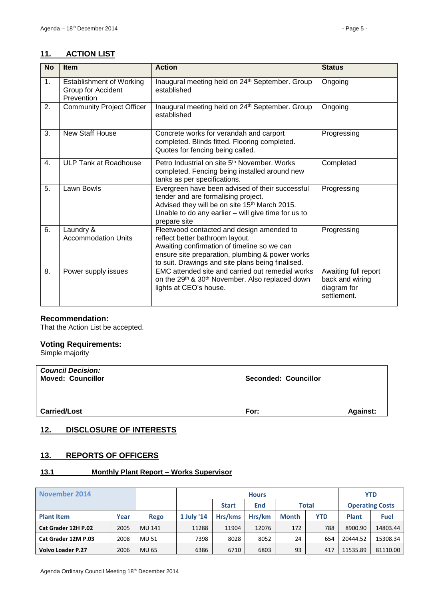# <span id="page-4-0"></span>**11. ACTION LIST**

| <b>No</b> | <b>Item</b>                                                         | <b>Action</b>                                                                                                                                                                                                                       | <b>Status</b>                                                         |
|-----------|---------------------------------------------------------------------|-------------------------------------------------------------------------------------------------------------------------------------------------------------------------------------------------------------------------------------|-----------------------------------------------------------------------|
| 1.        | <b>Establishment of Working</b><br>Group for Accident<br>Prevention | Inaugural meeting held on 24th September. Group<br>established                                                                                                                                                                      | Ongoing                                                               |
| 2.        | <b>Community Project Officer</b>                                    | Inaugural meeting held on 24 <sup>th</sup> September. Group<br>established                                                                                                                                                          | Ongoing                                                               |
| 3.        | <b>New Staff House</b>                                              | Concrete works for verandah and carport<br>completed. Blinds fitted. Flooring completed.<br>Quotes for fencing being called.                                                                                                        | Progressing                                                           |
| 4.        | <b>ULP Tank at Roadhouse</b>                                        | Petro Industrial on site 5 <sup>th</sup> November, Works<br>completed. Fencing being installed around new<br>tanks as per specifications.                                                                                           | Completed                                                             |
| 5.        | Lawn Bowls                                                          | Evergreen have been advised of their successful<br>tender and are formalising project.<br>Advised they will be on site 15th March 2015.<br>Unable to do any earlier - will give time for us to<br>prepare site                      | Progressing                                                           |
| 6.        | Laundry &<br><b>Accommodation Units</b>                             | Fleetwood contacted and design amended to<br>reflect better bathroom layout.<br>Awaiting confirmation of timeline so we can<br>ensure site preparation, plumbing & power works<br>to suit. Drawings and site plans being finalised. | Progressing                                                           |
| 8.        | Power supply issues                                                 | EMC attended site and carried out remedial works<br>on the 29 <sup>th</sup> & 30 <sup>th</sup> November. Also replaced down<br>lights at CEO's house.                                                                               | Awaiting full report<br>back and wiring<br>diagram for<br>settlement. |

## **Recommendation:**

That the Action List be accepted.

# **Voting Requirements:**

Simple majority

| <b>Council Decision:</b><br><b>Moved: Councillor</b> | <b>Seconded: Councillor</b> |                 |  |
|------------------------------------------------------|-----------------------------|-----------------|--|
| <b>Carried/Lost</b>                                  | For:                        | <b>Against:</b> |  |

# <span id="page-4-1"></span>**12. DISCLOSURE OF INTERESTS**

# <span id="page-4-2"></span>**13. REPORTS OF OFFICERS**

# <span id="page-4-3"></span>**13.1 Monthly Plant Report – Works Supervisor**

| <b>November 2014</b> |      |             | <b>Hours</b>                        |         |                        |              | <b>YTD</b> |          |             |
|----------------------|------|-------------|-------------------------------------|---------|------------------------|--------------|------------|----------|-------------|
|                      |      |             | Total<br><b>Start</b><br><b>End</b> |         | <b>Operating Costs</b> |              |            |          |             |
| <b>Plant Item</b>    | Year | <b>Rego</b> | 1 July '14                          | Hrs/kms | Hrs/km                 | <b>Month</b> | <b>YTD</b> | Plant    | <b>Fuel</b> |
| Cat Grader 12H P.02  | 2005 | MU 141      | 11288                               | 11904   | 12076                  | 172          | 788        | 8900.90  | 14803.44    |
| Cat Grader 12M P.03  | 2008 | MU 51       | 7398                                | 8028    | 8052                   | 24           | 654        | 20444.52 | 15308.34    |
| Volvo Loader P.27    | 2006 | MU 65       | 6386                                | 6710    | 6803                   | 93           | 417        | 11535.89 | 81110.00    |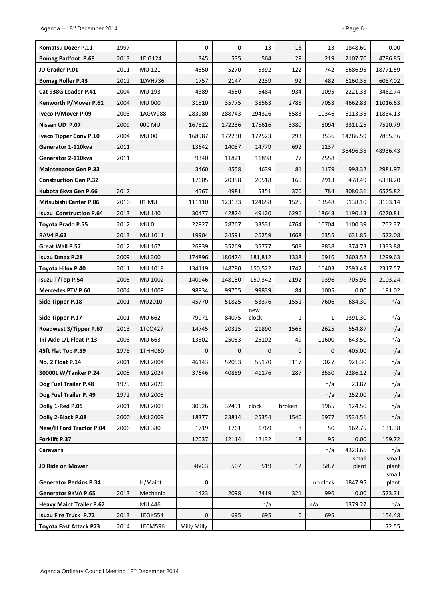| Komatsu Dozer P.11              | 1997 |                 | 0           | 0            | 13           | 13           | 13           | 1848.60  | 0.00           |
|---------------------------------|------|-----------------|-------------|--------------|--------------|--------------|--------------|----------|----------------|
| <b>Bomag Padfoot P.68</b>       | 2013 | 1EIG124         | 345         | 535          | 564          | 29           | 219          | 2107.70  | 4786.85        |
| JD Grader P.01                  | 2011 | MU 121          | 4650        | 5270         | 5392         | 122          | 742          | 8686.95  | 18771.59       |
| <b>Bomag Roller P.43</b>        | 2012 | 1DVH736         | 1757        | 2147         | 2239         | 92           | 482          | 6160.35  | 6087.02        |
| Cat 938G Loader P.41            | 2004 | MU 193          | 4389        | 4550         | 5484         | 934          | 1095         | 2221.33  | 3462.74        |
| Kenworth P/Mover P.61           | 2004 | <b>MU 000</b>   | 31510       | 35775        | 38563        | 2788         | 7053         | 4662.83  | 11016.63       |
| Iveco P/Mover P.09              | 2003 | 1AGW988         | 283980      | 288743       | 294326       | 5583         | 10346        | 6113.35  | 11834.13       |
| Nissan UD P.07                  | 2009 | 000 MU          | 167522      | 172236       | 175616       | 3380         | 8094         | 3311.25  | 7520.79        |
| <b>Iveco Tipper Conv P.10</b>   | 2004 | <b>MU00</b>     | 168987      | 172230       | 172523       | 293          | 3536         | 14286.59 | 7855.36        |
| Generator 1-110kva              | 2011 |                 | 13642       | 14087        | 14779        | 692          | 1137         | 35496.35 | 48936.43       |
| Generator 2-110kva              | 2011 |                 | 9340        | 11821        | 11898        | 77           | 2558         |          |                |
| <b>Maintenance Gen P.33</b>     |      |                 | 3460        | 4558         | 4639         | 81           | 1179         | 998.32   | 2981.97        |
| <b>Construction Gen P.32</b>    |      |                 | 17605       | 20358        | 20518        | 160          | 2913         | 478.49   | 6338.20        |
| Kubota 6kva Gen P.66            | 2012 |                 | 4567        | 4981         | 5351         | 370          | 784          | 3080.31  | 6575.82        |
| Mitsubishi Canter P.06          | 2010 | 01 MU           | 111110      | 123133       | 124658       | 1525         | 13548        | 9138.10  | 3103.14        |
| <b>Isuzu Construction P.64</b>  | 2013 | <b>MU 140</b>   | 30477       | 42824        | 49120        | 6296         | 18643        | 1190.13  | 6270.81        |
| <b>Toyota Prado P.55</b>        | 2012 | MU <sub>0</sub> | 22827       | 28767        | 33531        | 4764         | 10704        | 1100.39  | 752.37         |
| <b>RAV4 P.63</b>                | 2013 | MU 1011         | 19904       | 24591        | 26259        | 1668         | 6355         | 631.85   | 572.08         |
| Great Wall P.57                 | 2012 | MU 167          | 26939       | 35269        | 35777        | 508          | 8838         | 374.73   | 1333.88        |
| <b>Isuzu Dmax P.28</b>          | 2009 | <b>MU 300</b>   | 174896      | 180474       | 181,812      | 1338         | 6916         | 2603.52  | 1299.63        |
| Toyota Hilux P.40               | 2011 | MU 1018         | 134119      | 148780       | 150,522      | 1742         | 16403        | 2593.49  | 2317.57        |
| Isuzu T/Top P.54                | 2005 | MU 1002         | 140946      | 148150       | 150,342      | 2192         | 9396         | 705.98   | 2103.24        |
| <b>Mercedes PTV P.60</b>        | 2004 | MU 1009         | 98834       | 99755        | 99839        | 84           | 1005         | 0.00     | 181.02         |
| Side Tipper P.18                | 2001 | MU2010          | 45770       | 51825        | 53376        | 1551         | 7606         | 684.30   | n/a            |
| Side Tipper P.17                | 2001 | MU 662          | 79971       | 84075        | new<br>clock | 1            | 1            | 1391.30  | n/a            |
| Roadwest S/Tipper P.67          | 2013 | 1T0Q427         | 14745       | 20325        | 21890        | 1565         | 2625         | 554.87   | n/a            |
| Tri-Axle L/L Float P.13         | 2008 | MU 663          | 13502       | 25053        | 25102        | 49           | 11600        | 643.50   | n/a            |
| 45ft Flat Top P.59              | 1978 | 1THH060         | 0           | $\mathbf{0}$ | 0            | $\mathbf{0}$ | $\mathbf{0}$ | 405.00   | n/a            |
| No. 2 Float P.14                | 2001 | MU 2004         | 46143       | 52053        | 55170        | 3117         | 9027         | 921.30   | n/a            |
| 30000L W/Tanker P.24            | 2005 | MU 2024         | 37646       | 40889        | 41176        | 287          | 3530         | 2286.12  | n/a            |
| Dog Fuel Trailer P.48           | 1979 | MU 2026         |             |              |              |              | n/a          | 23.87    | n/a            |
| Dog Fuel Trailer P. 49          | 1972 | MU 2005         |             |              |              |              | n/a          | 252.00   | n/a            |
| Dolly 1-Red P.05                | 2001 | MU 2003         | 30526       | 32491        | clock        | broken       | 1965         | 124.50   | n/a            |
| Dolly 2-Black P.08              | 2000 | MU 2009         | 18377       | 23814        | 25354        | 1540         | 6977         | 1534.51  | n/a            |
| New/H Ford Tractor P.04         | 2006 | <b>MU380</b>    | 1719        | 1761         | 1769         | 8            | 50           | 162.75   | 131.38         |
| Forklift P.37                   |      |                 | 12037       | 12114        | 12132        | 18           | 95           | 0.00     | 159.72         |
| Caravans                        |      |                 |             |              |              |              | n/a          | 4323.66  | n/a            |
|                                 |      |                 |             |              |              |              |              | small    | small          |
| JD Ride on Mower                |      |                 | 460.3       | 507          | 519          | 12           | 58.7         | plant    | plant<br>small |
| <b>Generator Perkins P.34</b>   |      | H/Maint         | 0           |              |              |              | no clock     | 1847.95  | plant          |
| Generator 9KVA P.65             | 2013 | Mechanic        | 1423        | 2098         | 2419         | 321          | 996          | 0.00     | 573.71         |
| <b>Heavy Maint Trailer P.62</b> |      | MU 446          |             |              | n/a          |              | n/a          | 1379.27  | n/a            |
| <b>Isuzu Fire Truck P.72</b>    | 2013 | 1EOK554         | 0           | 695          | 695          | 0            | 695          |          | 154.48         |
| <b>Toyota Fast Attack P73</b>   | 2014 | 1E0M596         | Milly Milly |              |              |              |              |          | 72.55          |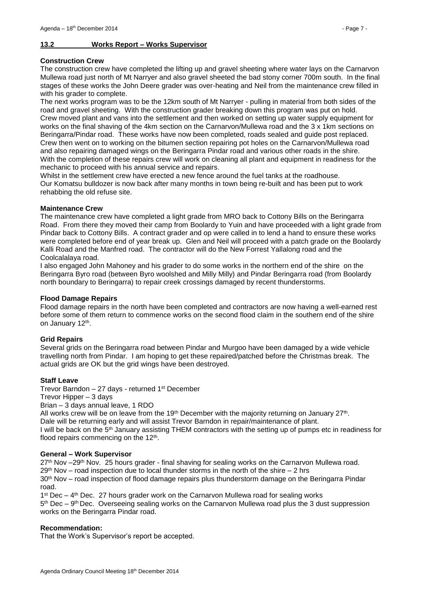### <span id="page-6-0"></span>**13.2 Works Report – Works Supervisor**

#### **Construction Crew**

The construction crew have completed the lifting up and gravel sheeting where water lays on the Carnarvon Mullewa road just north of Mt Narryer and also gravel sheeted the bad stony corner 700m south. In the final stages of these works the John Deere grader was over-heating and Neil from the maintenance crew filled in with his grader to complete.

The next works program was to be the 12km south of Mt Narryer - pulling in material from both sides of the road and gravel sheeting. With the construction grader breaking down this program was put on hold. Crew moved plant and vans into the settlement and then worked on setting up water supply equipment for works on the final shaving of the 4km section on the Carnarvon/Mullewa road and the 3 x 1km sections on Beringarra/Pindar road. These works have now been completed, roads sealed and guide post replaced. Crew then went on to working on the bitumen section repairing pot holes on the Carnarvon/Mullewa road and also repairing damaged wings on the Beringarra Pindar road and various other roads in the shire. With the completion of these repairs crew will work on cleaning all plant and equipment in readiness for the mechanic to proceed with his annual service and repairs.

Whilst in the settlement crew have erected a new fence around the fuel tanks at the roadhouse. Our Komatsu bulldozer is now back after many months in town being re-built and has been put to work rehabbing the old refuse site.

#### **Maintenance Crew**

The maintenance crew have completed a light grade from MRO back to Cottony Bills on the Beringarra Road. From there they moved their camp from Boolardy to Yuin and have proceeded with a light grade from Pindar back to Cottony Bills. A contract grader and op were called in to lend a hand to ensure these works were completed before end of year break up. Glen and Neil will proceed with a patch grade on the Boolardy Kalli Road and the Manfred road. The contractor will do the New Forrest Yallalong road and the Coolcalalaya road.

I also engaged John Mahoney and his grader to do some works in the northern end of the shire on the Beringarra Byro road (between Byro woolshed and Milly Milly) and Pindar Beringarra road (from Boolardy north boundary to Beringarra) to repair creek crossings damaged by recent thunderstorms.

#### **Flood Damage Repairs**

Flood damage repairs in the north have been completed and contractors are now having a well-earned rest before some of them return to commence works on the second flood claim in the southern end of the shire on January 12<sup>th</sup>.

### **Grid Repairs**

Several grids on the Beringarra road between Pindar and Murgoo have been damaged by a wide vehicle travelling north from Pindar. I am hoping to get these repaired/patched before the Christmas break. The actual grids are OK but the grid wings have been destroyed.

#### **Staff Leave**

Trevor Barndon  $-27$  days - returned 1<sup>st</sup> December

Trevor Hipper – 3 days

Brian – 3 days annual leave, 1 RDO

All works crew will be on leave from the 19<sup>th</sup> December with the majority returning on January 27<sup>th</sup>. Dale will be returning early and will assist Trevor Barndon in repair/maintenance of plant.

I will be back on the 5<sup>th</sup> January assisting THEM contractors with the setting up of pumps etc in readiness for flood repairs commencing on the 12<sup>th</sup>.

#### **General – Work Supervisor**

27<sup>th</sup> Nov –29<sup>th</sup> Nov. 25 hours grader - final shaving for sealing works on the Carnarvon Mullewa road.

 $29<sup>th</sup>$  Nov – road inspection due to local thunder storms in the north of the shire – 2 hrs

30<sup>th</sup> Nov – road inspection of flood damage repairs plus thunderstorm damage on the Beringarra Pindar road.

 $1<sup>st</sup>$  Dec – 4<sup>th</sup> Dec. 27 hours grader work on the Carnarvon Mullewa road for sealing works 5<sup>th</sup> Dec – 9<sup>th</sup> Dec. Overseeing sealing works on the Carnarvon Mullewa road plus the 3 dust suppression works on the Beringarra Pindar road.

### **Recommendation:**

That the Work's Supervisor's report be accepted.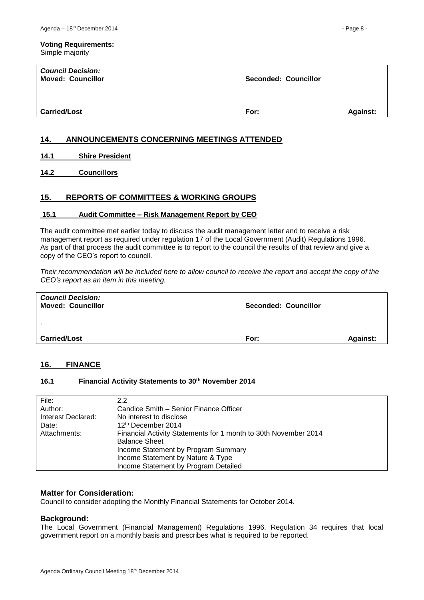#### **Voting Requirements:** Simple majority

| <b>Council Decision:</b><br><b>Moved: Councillor</b> | <b>Seconded: Councillor</b> |                 |
|------------------------------------------------------|-----------------------------|-----------------|
| <b>Carried/Lost</b>                                  | For:                        | <b>Against:</b> |

## <span id="page-7-0"></span>**14. ANNOUNCEMENTS CONCERNING MEETINGS ATTENDED**

<span id="page-7-1"></span>**14.1 Shire President**

<span id="page-7-2"></span>**14.2 Councillors**

## <span id="page-7-3"></span>**15. REPORTS OF COMMITTEES & WORKING GROUPS**

### <span id="page-7-4"></span>**15.1 Audit Committee – Risk Management Report by CEO**

The audit committee met earlier today to discuss the audit management letter and to receive a risk management report as required under regulation 17 of the Local Government (Audit) Regulations 1996. As part of that process the audit committee is to report to the council the results of that review and give a copy of the CEO's report to council.

*Their recommendation will be included here to allow council to receive the report and accept the copy of the CEO's report as an item in this meeting.*

| <b>Carried/Lost</b>                                  | For:                        | <b>Against:</b> |
|------------------------------------------------------|-----------------------------|-----------------|
| $\mathbf{r}$                                         |                             |                 |
| <b>Council Decision:</b><br><b>Moved: Councillor</b> | <b>Seconded: Councillor</b> |                 |

### <span id="page-7-5"></span>**16. FINANCE**

### <span id="page-7-6"></span>**16.1 Financial Activity Statements to 30 th November 2014**

| File:              | 2.2                                                             |
|--------------------|-----------------------------------------------------------------|
| Author:            | Candice Smith – Senior Finance Officer                          |
| Interest Declared: | No interest to disclose                                         |
| Date:              | 12 <sup>th</sup> December 2014                                  |
| Attachments:       | Financial Activity Statements for 1 month to 30th November 2014 |
|                    | <b>Balance Sheet</b>                                            |
|                    | Income Statement by Program Summary                             |
|                    | Income Statement by Nature & Type                               |
|                    | Income Statement by Program Detailed                            |

### **Matter for Consideration:**

Council to consider adopting the Monthly Financial Statements for October 2014.

### **Background:**

The Local Government (Financial Management) Regulations 1996. Regulation 34 requires that local government report on a monthly basis and prescribes what is required to be reported.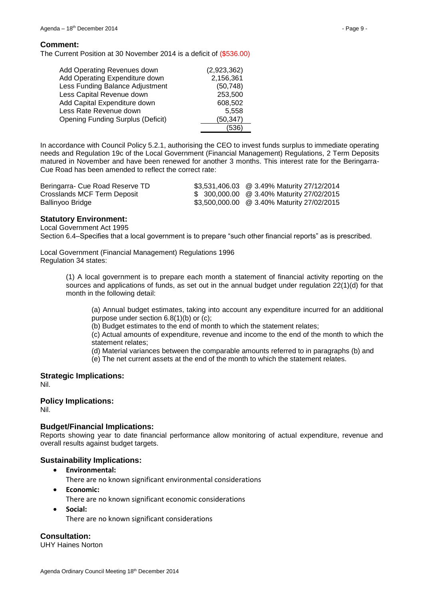#### **Comment:**

The Current Position at 30 November 2014 is a deficit of (\$536.00)

| Add Operating Revenues down              | (2,923,362) |
|------------------------------------------|-------------|
| Add Operating Expenditure down           | 2,156,361   |
| Less Funding Balance Adjustment          | (50, 748)   |
| Less Capital Revenue down                | 253,500     |
| Add Capital Expenditure down             | 608,502     |
| Less Rate Revenue down                   | 5,558       |
| <b>Opening Funding Surplus (Deficit)</b> | (50, 347)   |
|                                          |             |

In accordance with Council Policy 5.2.1, authorising the CEO to invest funds surplus to immediate operating needs and Regulation 19c of the Local Government (Financial Management) Regulations, 2 Term Deposits matured in November and have been renewed for another 3 months. This interest rate for the Beringarra-Cue Road has been amended to reflect the correct rate:

| Beringarra- Cue Road Reserve TD | \$3,531,406.03 @ 3.49% Maturity 27/12/2014 |
|---------------------------------|--------------------------------------------|
| Crosslands MCF Term Deposit     | \$ 300,000.00 @ 3.40% Maturity 27/02/2015  |
| Ballinyoo Bridge                | \$3,500,000.00 @ 3.40% Maturity 27/02/2015 |

### **Statutory Environment:**

Local Government Act 1995

Section 6.4–Specifies that a local government is to prepare "such other financial reports" as is prescribed.

Local Government (Financial Management) Regulations 1996 Regulation 34 states:

> (1) A local government is to prepare each month a statement of financial activity reporting on the sources and applications of funds, as set out in the annual budget under regulation 22(1)(d) for that month in the following detail:

(a) Annual budget estimates, taking into account any expenditure incurred for an additional purpose under section 6.8(1)(b) or (c);

(b) Budget estimates to the end of month to which the statement relates;

(c) Actual amounts of expenditure, revenue and income to the end of the month to which the statement relates;

(d) Material variances between the comparable amounts referred to in paragraphs (b) and

(e) The net current assets at the end of the month to which the statement relates.

**Strategic Implications:** Nil.

#### **Policy Implications:**

Nil.

#### **Budget/Financial Implications:**

Reports showing year to date financial performance allow monitoring of actual expenditure, revenue and overall results against budget targets.

### **Sustainability Implications:**

- **Environmental:**
	- There are no known significant environmental considerations
- **Economic:**
	- There are no known significant economic considerations
- **Social:**

There are no known significant considerations

**Consultation:** UHY Haines Norton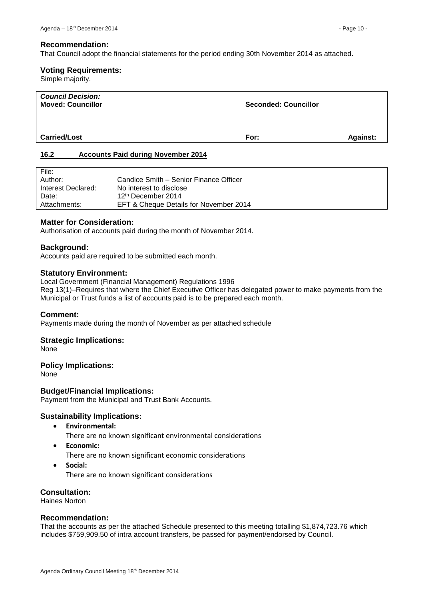That Council adopt the financial statements for the period ending 30th November 2014 as attached.

### **Voting Requirements:**

Simple majority.

| <b>Council Decision:</b><br><b>Moved: Councillor</b>           | <b>Seconded: Councillor</b> |                 |
|----------------------------------------------------------------|-----------------------------|-----------------|
| <b>Carried/Lost</b>                                            | For:                        | <b>Against:</b> |
| $\lambda$ $\sim$ $\sim$<br>Associate Deld during Neuember 0044 |                             |                 |

## <span id="page-9-0"></span>**16.2 Accounts Paid during November 2014**

| File:              |                                        |
|--------------------|----------------------------------------|
| Author:            | Candice Smith – Senior Finance Officer |
| Interest Declared: | No interest to disclose                |
| Date:              | 12 <sup>th</sup> December 2014         |
| Attachments:       | EFT & Cheque Details for November 2014 |

## **Matter for Consideration:**

Authorisation of accounts paid during the month of November 2014.

### **Background:**

Accounts paid are required to be submitted each month.

### **Statutory Environment:**

Local Government (Financial Management) Regulations 1996 Reg 13(1)–Requires that where the Chief Executive Officer has delegated power to make payments from the Municipal or Trust funds a list of accounts paid is to be prepared each month.

### **Comment:**

Payments made during the month of November as per attached schedule

### **Strategic Implications:**

None

### **Policy Implications:**

None

### **Budget/Financial Implications:**

Payment from the Municipal and Trust Bank Accounts.

### **Sustainability Implications:**

- **Environmental:**
	- There are no known significant environmental considerations
- **Economic:**

There are no known significant economic considerations

**Social:**

There are no known significant considerations

## **Consultation:**

Haines Norton

### **Recommendation:**

That the accounts as per the attached Schedule presented to this meeting totalling \$1,874,723.76 which includes \$759,909.50 of intra account transfers, be passed for payment/endorsed by Council.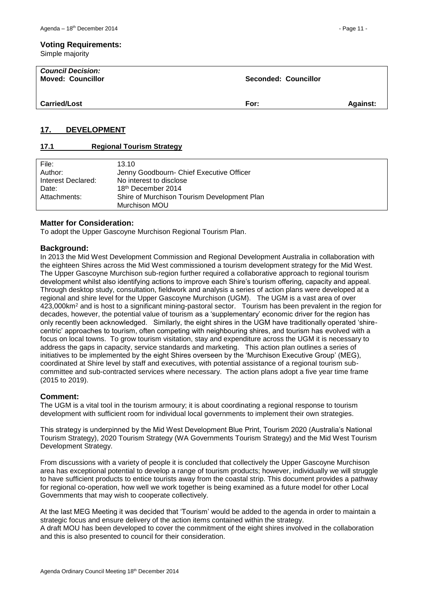#### **Voting Requirements:**

Simple majority

| <b>Council Decision:</b><br><b>Moved: Councillor</b> | Seconded: Councillor |                 |
|------------------------------------------------------|----------------------|-----------------|
| <b>Carried/Lost</b>                                  | For:                 | <b>Against:</b> |

## <span id="page-10-0"></span>**17. DEVELOPMENT**

### <span id="page-10-1"></span>**17.1 Regional Tourism Strategy**

| File:              | 13.10                                       |
|--------------------|---------------------------------------------|
| Author:            | Jenny Goodbourn- Chief Executive Officer    |
| Interest Declared: | No interest to disclose                     |
| Date:              | 18 <sup>th</sup> December 2014              |
| Attachments:       | Shire of Murchison Tourism Development Plan |
|                    | Murchison MOU                               |
|                    |                                             |

### **Matter for Consideration:**

To adopt the Upper Gascoyne Murchison Regional Tourism Plan.

#### **Background:**

In 2013 the Mid West Development Commission and Regional Development Australia in collaboration with the eighteen Shires across the Mid West commissioned a tourism development strategy for the Mid West. The Upper Gascoyne Murchison sub-region further required a collaborative approach to regional tourism development whilst also identifying actions to improve each Shire's tourism offering, capacity and appeal. Through desktop study, consultation, fieldwork and analysis a series of action plans were developed at a regional and shire level for the Upper Gascoyne Murchison (UGM). The UGM is a vast area of over 423,000km<sup>2</sup> and is host to a significant mining-pastoral sector. Tourism has been prevalent in the region for decades, however, the potential value of tourism as a 'supplementary' economic driver for the region has only recently been acknowledged. Similarly, the eight shires in the UGM have traditionally operated 'shirecentric' approaches to tourism, often competing with neighbouring shires, and tourism has evolved with a focus on local towns. To grow tourism visitation, stay and expenditure across the UGM it is necessary to address the gaps in capacity, service standards and marketing. This action plan outlines a series of initiatives to be implemented by the eight Shires overseen by the 'Murchison Executive Group' (MEG), coordinated at Shire level by staff and executives, with potential assistance of a regional tourism subcommittee and sub-contracted services where necessary. The action plans adopt a five year time frame (2015 to 2019).

### **Comment:**

The UGM is a vital tool in the tourism armoury; it is about coordinating a regional response to tourism development with sufficient room for individual local governments to implement their own strategies.

This strategy is underpinned by the Mid West Development Blue Print, Tourism 2020 (Australia's National Tourism Strategy), 2020 Tourism Strategy (WA Governments Tourism Strategy) and the Mid West Tourism Development Strategy.

From discussions with a variety of people it is concluded that collectively the Upper Gascoyne Murchison area has exceptional potential to develop a range of tourism products; however, individually we will struggle to have sufficient products to entice tourists away from the coastal strip. This document provides a pathway for regional co-operation, how well we work together is being examined as a future model for other Local Governments that may wish to cooperate collectively.

At the last MEG Meeting it was decided that 'Tourism' would be added to the agenda in order to maintain a strategic focus and ensure delivery of the action items contained within the strategy.

A draft MOU has been developed to cover the commitment of the eight shires involved in the collaboration and this is also presented to council for their consideration.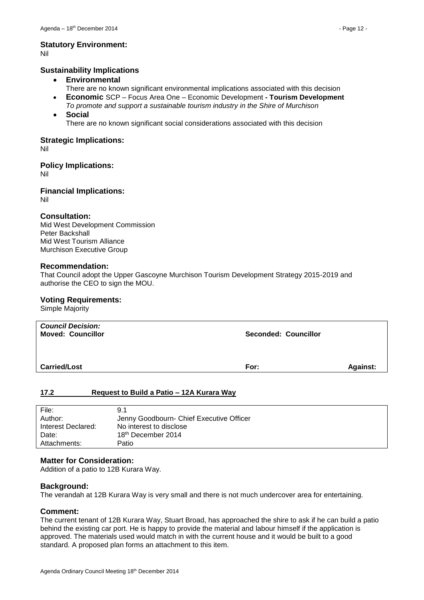# **Statutory Environment:**

Nil

### **Sustainability Implications**

- **Environmental**
	- There are no known significant environmental implications associated with this decision
- **Economic** SCP Focus Area One Economic Development **- Tourism Development**  *To promote and support a sustainable tourism industry in the Shire of Murchison*
- **Social**

There are no known significant social considerations associated with this decision

#### **Strategic Implications:** Nil

**Policy Implications:**

Nil

**Financial Implications:** Nil

### **Consultation:**

Mid West Development Commission Peter Backshall Mid West Tourism Alliance Murchison Executive Group

#### **Recommendation:**

That Council adopt the Upper Gascoyne Murchison Tourism Development Strategy 2015-2019 and authorise the CEO to sign the MOU.

### **Voting Requirements:**

Simple Majority

| <b>Council Decision:</b><br><b>Moved: Councillor</b> | <b>Seconded: Councillor</b> |                 |
|------------------------------------------------------|-----------------------------|-----------------|
| <b>Carried/Lost</b>                                  | For:                        | <b>Against:</b> |

### <span id="page-11-0"></span>**17.2 Request to Build a Patio – 12A Kurara Way**

| File:              | 9.1                                      |
|--------------------|------------------------------------------|
| Author:            | Jenny Goodbourn- Chief Executive Officer |
| Interest Declared: | No interest to disclose                  |
| Date:              | 18 <sup>th</sup> December 2014           |
| Attachments:       | Patio                                    |

#### **Matter for Consideration:**

Addition of a patio to 12B Kurara Way.

### **Background:**

The verandah at 12B Kurara Way is very small and there is not much undercover area for entertaining.

### **Comment:**

The current tenant of 12B Kurara Way, Stuart Broad, has approached the shire to ask if he can build a patio behind the existing car port. He is happy to provide the material and labour himself if the application is approved. The materials used would match in with the current house and it would be built to a good standard. A proposed plan forms an attachment to this item.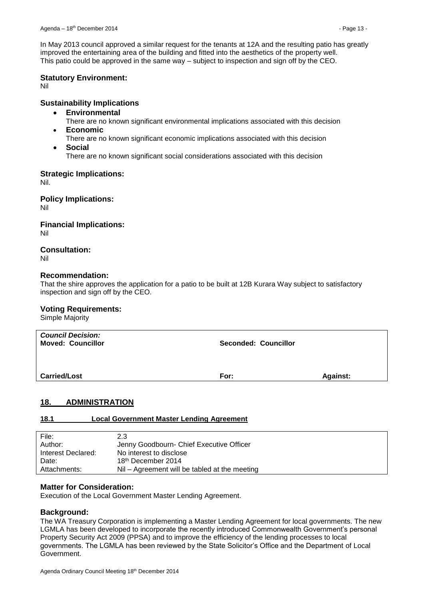In May 2013 council approved a similar request for the tenants at 12A and the resulting patio has greatly improved the entertaining area of the building and fitted into the aesthetics of the property well. This patio could be approved in the same way – subject to inspection and sign off by the CEO.

### **Statutory Environment:**

Nil

## **Sustainability Implications**

- **Environmental**
	- There are no known significant environmental implications associated with this decision
- **Economic**
	- There are no known significant economic implications associated with this decision
- **Social** There are no known significant social considerations associated with this decision

### **Strategic Implications:**

Nil.

**Policy Implications:**

Nil

**Financial Implications:** Nil

## **Consultation:**

Nil

### **Recommendation:**

That the shire approves the application for a patio to be built at 12B Kurara Way subject to satisfactory inspection and sign off by the CEO.

### **Voting Requirements:**

Simple Majority

| <b>Council Decision:</b><br><b>Moved: Councillor</b> | Seconded: Councillor |                 |
|------------------------------------------------------|----------------------|-----------------|
| <b>Carried/Lost</b>                                  | For:                 | <b>Against:</b> |

## <span id="page-12-0"></span>**18. ADMINISTRATION**

### <span id="page-12-1"></span>**18.1 Local Government Master Lending Agreement**

| File:              | 2.3                                           |
|--------------------|-----------------------------------------------|
| Author:            | Jenny Goodbourn- Chief Executive Officer      |
| Interest Declared: | No interest to disclose                       |
| Date:              | 18 <sup>th</sup> December 2014                |
| Attachments:       | Nil – Agreement will be tabled at the meeting |

### **Matter for Consideration:**

Execution of the Local Government Master Lending Agreement.

### **Background:**

The WA Treasury Corporation is implementing a Master Lending Agreement for local governments. The new LGMLA has been developed to incorporate the recently introduced Commonwealth Government's personal Property Security Act 2009 (PPSA) and to improve the efficiency of the lending processes to local governments. The LGMLA has been reviewed by the State Solicitor's Office and the Department of Local Government.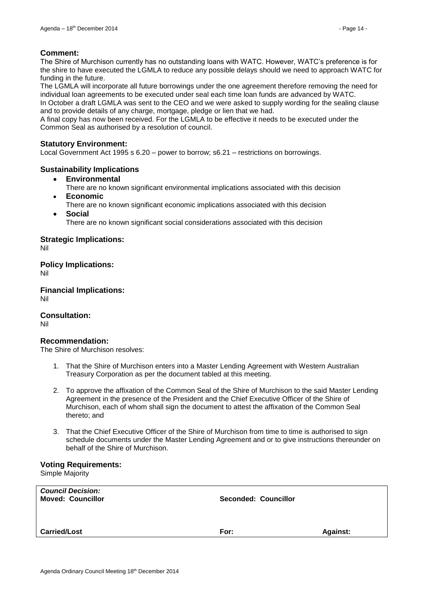### **Comment:**

The Shire of Murchison currently has no outstanding loans with WATC. However, WATC's preference is for the shire to have executed the LGMLA to reduce any possible delays should we need to approach WATC for funding in the future.

The LGMLA will incorporate all future borrowings under the one agreement therefore removing the need for individual loan agreements to be executed under seal each time loan funds are advanced by WATC.

In October a draft LGMLA was sent to the CEO and we were asked to supply wording for the sealing clause and to provide details of any charge, mortgage, pledge or lien that we had.

A final copy has now been received. For the LGMLA to be effective it needs to be executed under the Common Seal as authorised by a resolution of council.

### **Statutory Environment:**

Local Government Act 1995 s 6.20 – power to borrow; s6.21 – restrictions on borrowings.

### **Sustainability Implications**

- **Environmental**
	- There are no known significant environmental implications associated with this decision **Economic**
	- There are no known significant economic implications associated with this decision
- **Social**

There are no known significant social considerations associated with this decision

**Strategic Implications:**

Nil

**Policy Implications:** Nil

**Financial Implications:** Nil

**Consultation:**

Nil

### **Recommendation:**

The Shire of Murchison resolves:

- 1. That the Shire of Murchison enters into a Master Lending Agreement with Western Australian Treasury Corporation as per the document tabled at this meeting.
- 2. To approve the affixation of the Common Seal of the Shire of Murchison to the said Master Lending Agreement in the presence of the President and the Chief Executive Officer of the Shire of Murchison, each of whom shall sign the document to attest the affixation of the Common Seal thereto; and
- 3. That the Chief Executive Officer of the Shire of Murchison from time to time is authorised to sign schedule documents under the Master Lending Agreement and or to give instructions thereunder on behalf of the Shire of Murchison.

### **Voting Requirements:**

Simple Majority

| <b>Council Decision:</b><br><b>Moved: Councillor</b> | <b>Seconded: Councillor</b> |                 |
|------------------------------------------------------|-----------------------------|-----------------|
| <b>Carried/Lost</b>                                  | For:                        | <b>Against:</b> |